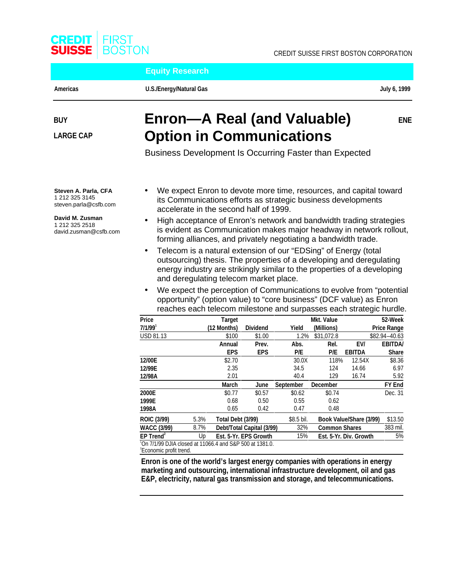

**Equity Research**

CREDIT SUISSE FIRST BOSTON CORPORATION

Americas **Example 3 and Struck U.S./Energy/Natural Gas July 6, 1999** and the U.S. of the U.S. of the U.S. of the U

# **BUY**

**LARGE CAP**

# **Enron—A Real (and Valuable) Option in Communications**

**ENE**

Business Development Is Occurring Faster than Expected

**Steven A. Parla, CFA** 1 212 325 3145 steven.parla@csfb.com

**David M. Zusman** 1 212 325 2518 david.zusman@csfb.com

- We expect Enron to devote more time, resources, and capital toward its Communications efforts as strategic business developments accelerate in the second half of 1999.
- High acceptance of Enron's network and bandwidth trading strategies is evident as Communication makes major headway in network rollout, forming alliances, and privately negotiating a bandwidth trade.
- Telecom is a natural extension of our "EDSing" of Energy (total outsourcing) thesis. The properties of a developing and deregulating energy industry are strikingly similar to the properties of a developing and deregulating telecom market place.
- We expect the perception of Communications to evolve from "potential" opportunity" (option value) to "core business" (DCF value) as Enron reaches each telecom milestone and surpasses each strategic hurdle.

| Price                                                                |      | <b>Target</b>     |                           |                  | <b>Mkt. Value</b>    |                         | 52-Week            |
|----------------------------------------------------------------------|------|-------------------|---------------------------|------------------|----------------------|-------------------------|--------------------|
| $7/1/99$ <sup>1</sup>                                                |      | (12 Months)       | <b>Dividend</b>           | Yield            | (Millions)           |                         | <b>Price Range</b> |
| <b>USD 81.13</b>                                                     |      | \$100             | \$1.00                    | 1.2%             | \$31,072.8           |                         | \$82.94-40.63      |
|                                                                      |      | Annual            | Prev.                     | Abs.             | Rel.                 | EV/                     | <b>EBITDA/</b>     |
|                                                                      |      | <b>EPS</b>        | <b>EPS</b>                | P/E              | P/E                  | <b>EBITDA</b>           | <b>Share</b>       |
| 12/00E                                                               |      | \$2.70            |                           | 30.0X            | 118%                 | 12.54X                  | \$8.36             |
| 12/99E                                                               |      | 2.35              |                           | 34.5             | 124                  | 14.66                   | 6.97               |
| 12/98A                                                               |      | 2.01              |                           | 40.4             | 129                  | 16.74                   | 5.92               |
|                                                                      |      | <b>March</b>      | June                      | <b>September</b> | <b>December</b>      |                         | FY End             |
| 2000E                                                                |      | \$0.77            | \$0.57                    | \$0.62           | \$0.74               |                         | Dec. 31            |
| 1999E                                                                |      | 0.68              | 0.50                      | 0.55             | 0.62                 |                         |                    |
| 1998A                                                                |      | 0.65              | 0.42                      | 0.47             | 0.48                 |                         |                    |
| <b>ROIC (3/99)</b>                                                   | 5.3% | Total Debt (3/99) |                           | \$8.5 bil.       |                      | Book Value/Share (3/99) | \$13.50            |
| <b>WACC (3/99)</b>                                                   | 8.7% |                   | Debt/Total Capital (3/99) | 32%              | <b>Common Shares</b> |                         | 383 mil.           |
| $EP$ Trend <sup>2</sup>                                              | Up   |                   | Est. 5-Yr. EPS Growth     | 15%              |                      | Est. 5-Yr. Div. Growth  | 5%                 |
| <sup>1</sup> On 7/1/99 DJIA closed at 11066.4 and S&P 500 at 1381.0. |      |                   |                           |                  |                      |                         |                    |
| <sup>2</sup> Economic profit trend.                                  |      |                   |                           |                  |                      |                         |                    |

**Enron is one of the world's largest energy companies with operations in energy marketing and outsourcing, international infrastructure development, oil and gas E&P, electricity, natural gas transmission and storage, and telecommunications.**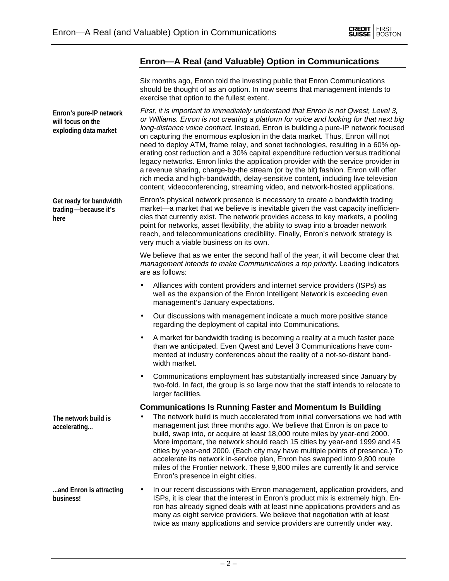**The network build is accelerating...**



### **Enron—A Real (and Valuable) Option in Communications**

Six months ago, Enron told the investing public that Enron Communications should be thought of as an option. In now seems that management intends to exercise that option to the fullest extent.

First, it is important to immediately understand that Enron is not Qwest, Level 3, or Williams. Enron is not creating a platform for voice and looking for that next big long-distance voice contract. Instead, Enron is building a pure-IP network focused on capturing the enormous explosion in the data market. Thus, Enron will not need to deploy ATM, frame relay, and sonet technologies, resulting in a 60% operating cost reduction and a 30% capital expenditure reduction versus traditional legacy networks. Enron links the application provider with the service provider in a revenue sharing, charge-by-the stream (or by the bit) fashion. Enron will offer rich media and high-bandwidth, delay-sensitive content, including live television content, videoconferencing, streaming video, and network-hosted applications. **Enron's pure-IP network will focus on the exploding data market**

Enron's physical network presence is necessary to create a bandwidth trading market—a market that we believe is inevitable given the vast capacity inefficiencies that currently exist. The network provides access to key markets, a pooling point for networks, asset flexibility, the ability to swap into a broader network reach, and telecommunications credibility. Finally, Enron's network strategy is very much a viable business on its own. **Get ready for bandwidth trading—because it's here**

> We believe that as we enter the second half of the year, it will become clear that management intends to make Communications a top priority. Leading indicators are as follows:

- Alliances with content providers and internet service providers (ISPs) as well as the expansion of the Enron Intelligent Network is exceeding even management's January expectations.
- Our discussions with management indicate a much more positive stance regarding the deployment of capital into Communications.
- A market for bandwidth trading is becoming a reality at a much faster pace than we anticipated. Even Qwest and Level 3 Communications have commented at industry conferences about the reality of a not-so-distant bandwidth market.
- Communications employment has substantially increased since January by two-fold. In fact, the group is so large now that the staff intends to relocate to larger facilities.

#### **Communications Is Running Faster and Momentum Is Building**

• The network build is much accelerated from initial conversations we had with management just three months ago. We believe that Enron is on pace to build, swap into, or acquire at least 18,000 route miles by year-end 2000. More important, the network should reach 15 cities by year-end 1999 and 45 cities by year-end 2000. (Each city may have multiple points of presence.) To accelerate its network in-service plan, Enron has swapped into 9,800 route miles of the Frontier network. These 9,800 miles are currently lit and service Enron's presence in eight cities.

• In our recent discussions with Enron management, application providers, and ISPs, it is clear that the interest in Enron's product mix is extremely high. Enron has already signed deals with at least nine applications providers and as many as eight service providers. We believe that negotiation with at least twice as many applications and service providers are currently under way. **...and Enron is attracting business!**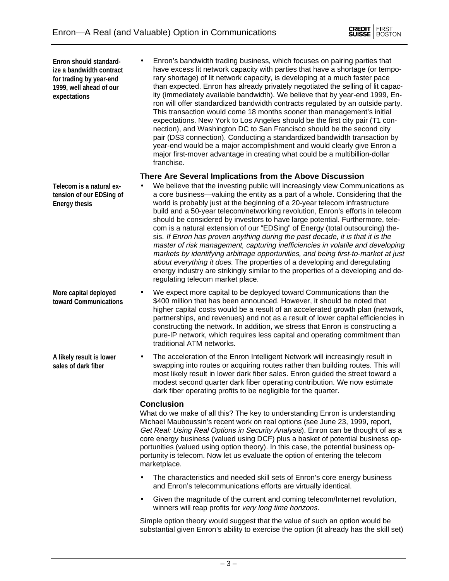• Enron's bandwidth trading business, which focuses on pairing parties that have excess lit network capacity with parties that have a shortage (or temporary shortage) of lit network capacity, is developing at a much faster pace than expected. Enron has already privately negotiated the selling of lit capacity (immediately available bandwidth). We believe that by year-end 1999, Enron will offer standardized bandwidth contracts regulated by an outside party. This transaction would come 18 months sooner than management's initial expectations. New York to Los Angeles should be the first city pair (T1 connection), and Washington DC to San Francisco should be the second city pair (DS3 connection). Conducting a standardized bandwidth transaction by year-end would be a major accomplishment and would clearly give Enron a major first-mover advantage in creating what could be a multibillion-dollar franchise. **Enron should standardize a bandwidth contract for trading by year-end 1999, well ahead of our**

#### **There Are Several Implications from the Above Discussion**

- We believe that the investing public will increasingly view Communications as a core business—valuing the entity as a part of a whole. Considering that the world is probably just at the beginning of a 20-year telecom infrastructure build and a 50-year telecom/networking revolution, Enron's efforts in telecom should be considered by investors to have large potential. Furthermore, telecom is a natural extension of our "EDSing" of Energy (total outsourcing) thesis. If Enron has proven anything during the past decade, it is that it is the master of risk management, capturing inefficiencies in volatile and developing markets by identifying arbitrage opportunities, and being first-to-market at just about everything it does. The properties of a developing and deregulating energy industry are strikingly similar to the properties of a developing and deregulating telecom market place.
- We expect more capital to be deployed toward Communications than the \$400 million that has been announced. However, it should be noted that higher capital costs would be a result of an accelerated growth plan (network, partnerships, and revenues) and not as a result of lower capital efficiencies in constructing the network. In addition, we stress that Enron is constructing a pure-IP network, which requires less capital and operating commitment than traditional ATM networks. **More capital deployed**
	- The acceleration of the Enron Intelligent Network will increasingly result in swapping into routes or acquiring routes rather than building routes. This will most likely result in lower dark fiber sales. Enron guided the street toward a modest second quarter dark fiber operating contribution. We now estimate dark fiber operating profits to be negligible for the quarter.

#### **Conclusion**

What do we make of all this? The key to understanding Enron is understanding Michael Mauboussin's recent work on real options (see June 23, 1999, report, Get Real: Using Real Options in Security Analysis). Enron can be thought of as a core energy business (valued using DCF) plus a basket of potential business opportunities (valued using option theory). In this case, the potential business opportunity is telecom. Now let us evaluate the option of entering the telecom marketplace.

- The characteristics and needed skill sets of Enron's core energy business and Enron's telecommunications efforts are virtually identical.
- Given the magnitude of the current and coming telecom/Internet revolution, winners will reap profits for very long time horizons.

Simple option theory would suggest that the value of such an option would be substantial given Enron's ability to exercise the option (it already has the skill set)

**Telecom is a natural extension of our EDSing of Energy thesis**

**expectations**

- **toward Communications**
- **A likely result is lower sales of dark fiber**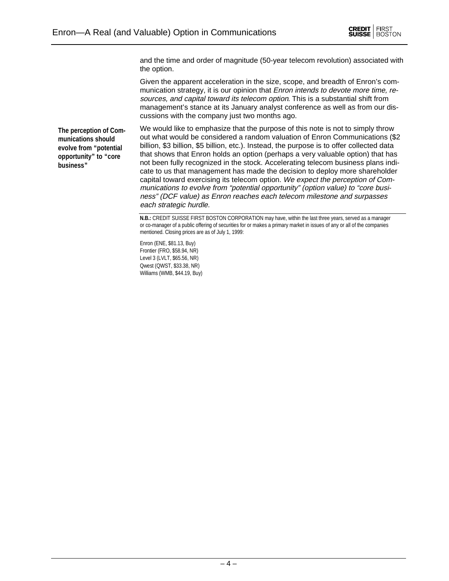

and the time and order of magnitude (50-year telecom revolution) associated with the option.

Given the apparent acceleration in the size, scope, and breadth of Enron's communication strategy, it is our opinion that *Enron intends to devote more time, re*sources, and capital toward its telecom option. This is a substantial shift from management's stance at its January analyst conference as well as from our discussions with the company just two months ago.

**The perception of Communications should evolve from "potential opportunity" to "core business"**

We would like to emphasize that the purpose of this note is not to simply throw out what would be considered a random valuation of Enron Communications (\$2 billion, \$3 billion, \$5 billion, etc.). Instead, the purpose is to offer collected data that shows that Enron holds an option (perhaps a very valuable option) that has not been fully recognized in the stock. Accelerating telecom business plans indicate to us that management has made the decision to deploy more shareholder capital toward exercising its telecom option. We expect the perception of Communications to evolve from "potential opportunity" (option value) to "core business" (DCF value) as Enron reaches each telecom milestone and surpasses each strategic hurdle.

Enron (ENE, \$81.13, Buy) Frontier (FRO, \$58.94, NR) Level 3 (LVLT, \$65.56, NR) Qwest (QWST, \$33.38, NR) Williams (WMB, \$44.19, Buy)

**N.B.:** CREDIT SUISSE FIRST BOSTON CORPORATION may have, within the last three years, served as a manager or co-manager of a public offering of securities for or makes a primary market in issues of any or all of the companies mentioned. Closing prices are as of July 1, 1999: